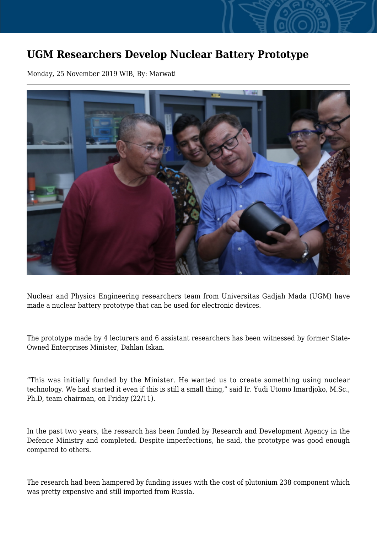## **UGM Researchers Develop Nuclear Battery Prototype**

Monday, 25 November 2019 WIB, By: Marwati



Nuclear and Physics Engineering researchers team from Universitas Gadjah Mada (UGM) have made a nuclear battery prototype that can be used for electronic devices.

The prototype made by 4 lecturers and 6 assistant researchers has been witnessed by former State-Owned Enterprises Minister, Dahlan Iskan.

"This was initially funded by the Minister. He wanted us to create something using nuclear technology. We had started it even if this is still a small thing," said Ir. Yudi Utomo Imardjoko, M.Sc., Ph.D, team chairman, on Friday (22/11).

In the past two years, the research has been funded by Research and Development Agency in the Defence Ministry and completed. Despite imperfections, he said, the prototype was good enough compared to others.

The research had been hampered by funding issues with the cost of plutonium 238 component which was pretty expensive and still imported from Russia.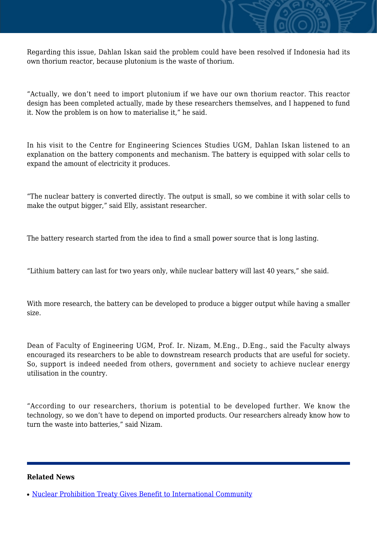

Regarding this issue, Dahlan Iskan said the problem could have been resolved if Indonesia had its own thorium reactor, because plutonium is the waste of thorium.

"Actually, we don't need to import plutonium if we have our own thorium reactor. This reactor design has been completed actually, made by these researchers themselves, and I happened to fund it. Now the problem is on how to materialise it," he said.

In his visit to the Centre for Engineering Sciences Studies UGM, Dahlan Iskan listened to an explanation on the battery components and mechanism. The battery is equipped with solar cells to expand the amount of electricity it produces.

"The nuclear battery is converted directly. The output is small, so we combine it with solar cells to make the output bigger," said Elly, assistant researcher.

The battery research started from the idea to find a small power source that is long lasting.

"Lithium battery can last for two years only, while nuclear battery will last 40 years," she said.

With more research, the battery can be developed to produce a bigger output while having a smaller size.

Dean of Faculty of Engineering UGM, Prof. Ir. Nizam, M.Eng., D.Eng., said the Faculty always encouraged its researchers to be able to downstream research products that are useful for society. So, support is indeed needed from others, government and society to achieve nuclear energy utilisation in the country.

"According to our researchers, thorium is potential to be developed further. We know the technology, so we don't have to depend on imported products. Our researchers already know how to turn the waste into batteries," said Nizam.

## **Related News**

<sup>•</sup> [Nuclear Prohibition Treaty Gives Benefit to International Community](http://ugm.ac.id/www.ugm.ac.id//en/news/18435-ugm-researchers-examine-recycling-lithium-batteries)